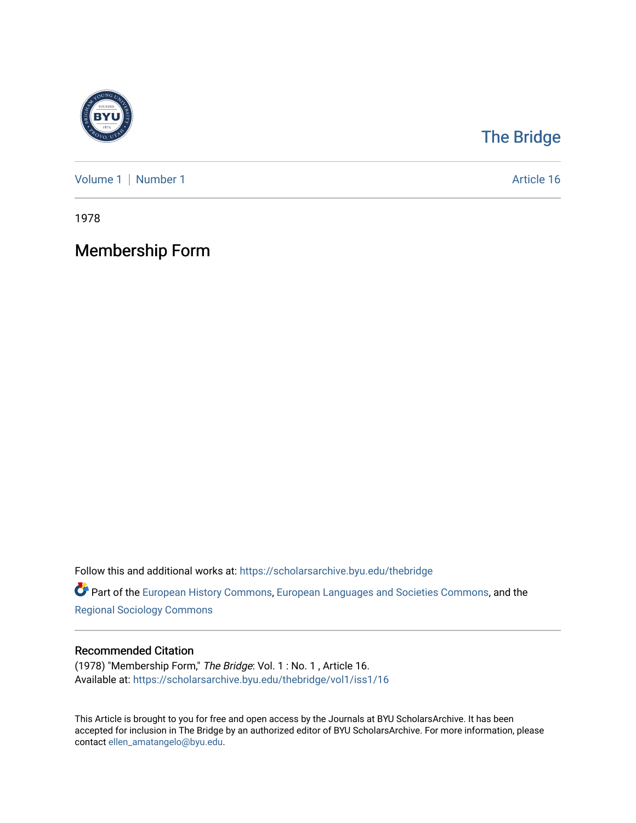

## [The Bridge](https://scholarsarchive.byu.edu/thebridge)

[Volume 1](https://scholarsarchive.byu.edu/thebridge/vol1) | [Number 1](https://scholarsarchive.byu.edu/thebridge/vol1/iss1) Article 16

1978

# Membership Form

Follow this and additional works at: [https://scholarsarchive.byu.edu/thebridge](https://scholarsarchive.byu.edu/thebridge?utm_source=scholarsarchive.byu.edu%2Fthebridge%2Fvol1%2Fiss1%2F16&utm_medium=PDF&utm_campaign=PDFCoverPages) 

**Part of the [European History Commons](http://network.bepress.com/hgg/discipline/492?utm_source=scholarsarchive.byu.edu%2Fthebridge%2Fvol1%2Fiss1%2F16&utm_medium=PDF&utm_campaign=PDFCoverPages), [European Languages and Societies Commons,](http://network.bepress.com/hgg/discipline/482?utm_source=scholarsarchive.byu.edu%2Fthebridge%2Fvol1%2Fiss1%2F16&utm_medium=PDF&utm_campaign=PDFCoverPages) and the** [Regional Sociology Commons](http://network.bepress.com/hgg/discipline/427?utm_source=scholarsarchive.byu.edu%2Fthebridge%2Fvol1%2Fiss1%2F16&utm_medium=PDF&utm_campaign=PDFCoverPages) 

## Recommended Citation

(1978) "Membership Form," The Bridge: Vol. 1 : No. 1 , Article 16. Available at: [https://scholarsarchive.byu.edu/thebridge/vol1/iss1/16](https://scholarsarchive.byu.edu/thebridge/vol1/iss1/16?utm_source=scholarsarchive.byu.edu%2Fthebridge%2Fvol1%2Fiss1%2F16&utm_medium=PDF&utm_campaign=PDFCoverPages) 

This Article is brought to you for free and open access by the Journals at BYU ScholarsArchive. It has been accepted for inclusion in The Bridge by an authorized editor of BYU ScholarsArchive. For more information, please contact [ellen\\_amatangelo@byu.edu.](mailto:ellen_amatangelo@byu.edu)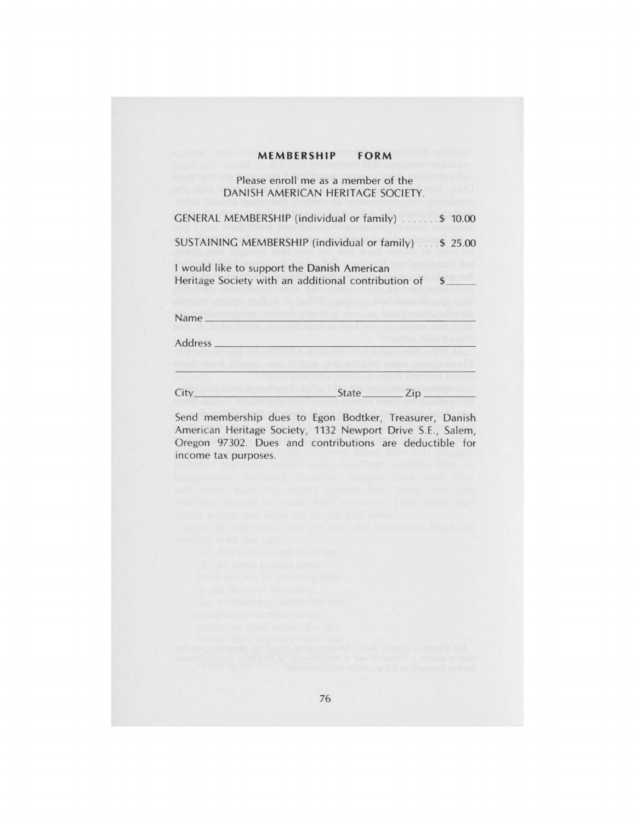### **MEMBERSHIP FORM**

Please enroll me as a member of the DANISH AMERICAN HERITAGE SOCIETY.

GENERAL MEMBERSHIP (individual or family) . . .. ... \$ 10.00 SUSTAINING MEMBERSHIP (individual or family) .... \$ 25.00 I would like to support the Danish American Heritage Society with an additional contribution of \$

| Name_    |              |     |
|----------|--------------|-----|
| Address. |              |     |
|          |              |     |
| City     | <b>State</b> | Zip |

Send membership dues to Egon Bodtker, Treasurer, Danish American Heritage Society, 1132 Newport Drive S.E., Salem, Oregon 97302. Dues and contributions are deductible for income tax purposes.